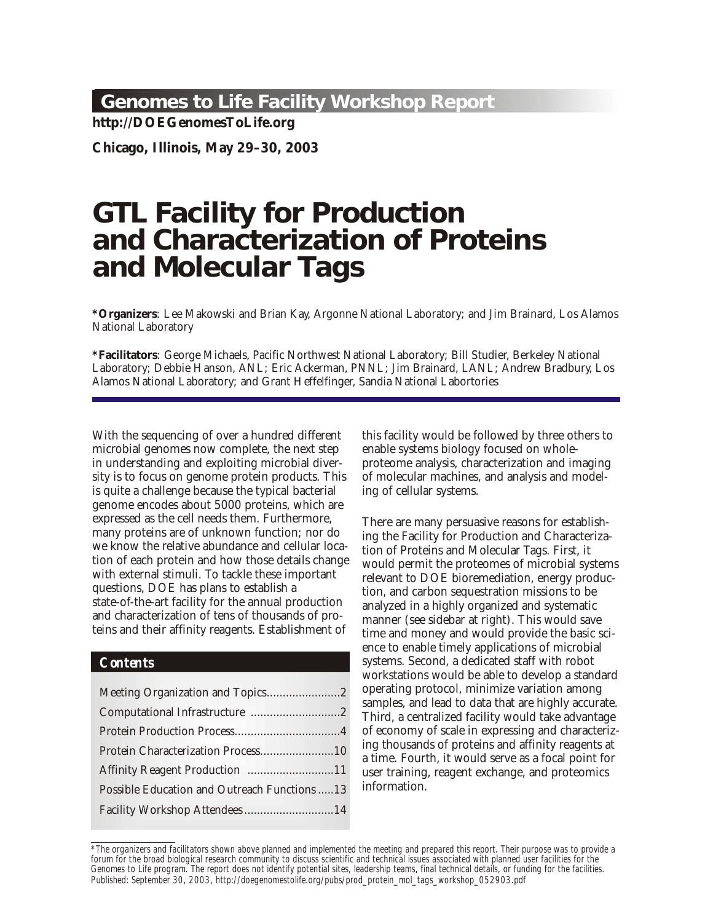## **Genomes to Life Facility Workshop Report**

**http://DOEGenomesToLife.org**

**Chicago, Illinois, May 29–30, 2003**

# **GTL Facility for Production and Characterization of Proteins and Molecular Tags**

**\*Orga niz ers**: Lee Makowski and Brian Kay, Argonne National Lab o ra tory; and Jim Brainard, Los Alamos National Laboratory

\*Facilitators: George Michaels, Pacific Northwest National Laboratory; Bill Studier, Berkeley National Laboratory; Debbie Hanson, ANL; Eric Ackerman, PNNL; Jim Brainard, LANL; Andrew Bradbury, Los Alamos National Laboratory; and Grant Heffelfinger, Sandia National Labortories

With the sequencing of over a hundred different microbial genomes now complete, the next step in understanding and exploiting microbial diversity is to focus on genome protein products. This is quite a challenge because the typical bacterial genome encodes about 5000 proteins, which are expressed as the cell needs them. Furthermore, many proteins are of unknown function; nor do we know the relative abundance and cellular location of each protein and how those details change with external stimuli. To tackle these important questions, DOE has plans to establish a state-of-the-art facility for the annual production and characterization of tens of thousands of proteins and their affinity reagents. Establishment of

#### *Contents*

| Protein Characterization Process10            |  |
|-----------------------------------------------|--|
| Affinity Reagent Production 11                |  |
| Possible Education and Outreach Functions  13 |  |
| Facility Workshop Attendees14                 |  |

this facility would be followed by three others to enable systems biology focused on wholeproteome analysis, characterization and imaging of molecular machines, and analysis and modeling of cellular systems.

There are many persuasive reasons for establishing the Facility for Production and Characterization of Proteins and Molecular Tags. First, it would permit the proteomes of microbial systems relevant to DOE bioremediation, energy production, and carbon sequestration missions to be analyzed in a highly organized and systematic manner (see sidebar at right). This would save time and money and would provide the basic science to enable timely applications of microbial systems. Second, a dedicated staff with robot workstations would be able to develop a standard operating protocol, minimize variation among samples, and lead to data that are highly accurate. Third, a centralized facility would take advantage of economy of scale in expressing and characterizing thousands of proteins and affinity reagents at a time. Fourth, it would serve as a focal point for user training, reagent exchange, and proteomics information.

<sup>\*</sup>The organizers and facilitators shown above planned and implemented the meeting and prepared this report. Their purpose was to provide a forum for the broad biological research community to discuss scientific and technical issues associated with planned user facilities for the Genomes to Life program. The report does not identify potential sites, leadership teams, final technical details, or funding for the facilities. Published: September 30, 2003, http://doegenomestolife.org/pubs/prod\_protein\_mol\_tags\_workshop\_052903.pdf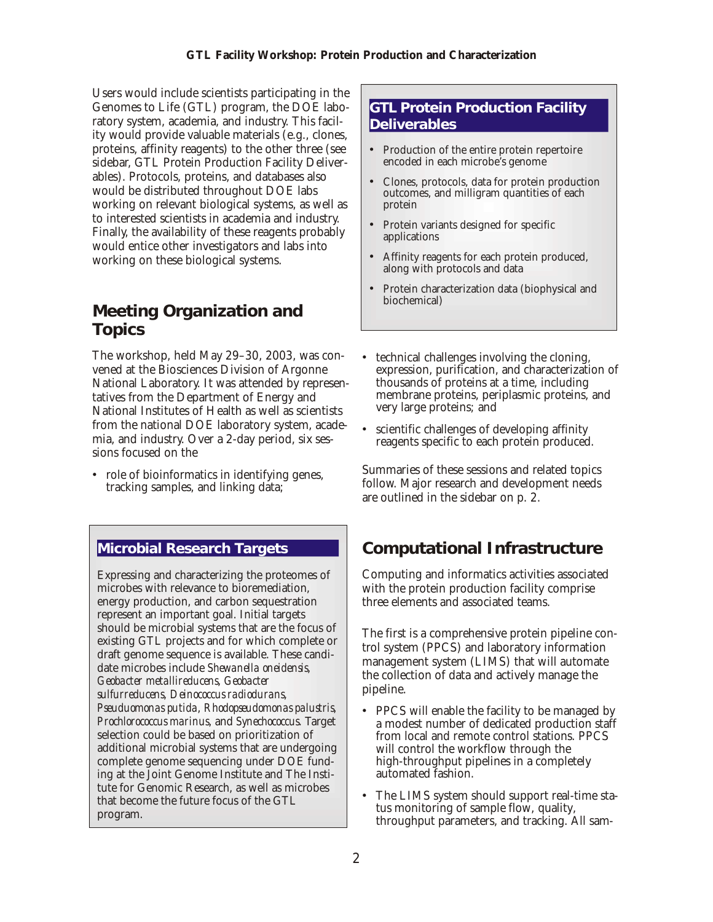<span id="page-1-0"></span>Users would include scientists participating in the Genomes to Life (GTL) program, the DOE laboratory system, academia, and industry. This facility would provide valuable materials (e.g., clones, proteins, affinity reagents) to the other three (see sidebar, GTL Protein Production Facility Deliverables). Protocols, proteins, and databases also would be distributed throughout DOE labs working on relevant biological systems, as well as to interested scientists in academia and industry. Finally, the availability of these reagents probably would entice other investigators and labs into working on these biological systems.

## **Meeting Organization and Topics**

The workshop, held May 29–30, 2003, was convened at the Biosciences Division of Argonne National Laboratory. It was attended by representatives from the Department of Energy and National Institutes of Health as well as scientists from the national DOE laboratory system, academia, and industry. Over a 2-day period, six sessions focused on the

• role of bioinformatics in identifying genes, tracking samples, and linking data;

#### **Microbial Research Targets**

Expressing and characterizing the proteomes of microbes with relevance to bioremediation, energy production, and carbon sequestration represent an important goal. Initial targets should be microbial systems that are the focus of existing GTL projects and for which complete or draft genome sequence is available. These candidate microbes include *Shewanella oneidensis*, *Geobacter metallireducens*, *Geobacter sulfurreducens*, *Deinococcus radiodurans*, *Pseuduomonas putida*, *Rhodopseudomonas palustris*, *Prochlorococcus marinus*, and *Synechococcus*. Target selection could be based on prioritization of additional microbial systems that are undergoing complete genome sequencing under DOE funding at the Joint Genome Institute and The Institute for Genomic Research, as well as microbes that become the future focus of the GTL program.

### **GTL Protein Production Facility Deliverables**

- Production of the entire protein repertoire encoded in each microbe's genome
- Clones, protocols, data for protein production outcomes, and milligram quantities of each protein
- Protein variants designed for specific applications
- Affinity reagents for each protein produced, along with protocols and data
- Protein characterization data (biophysical and biochemical)
- technical challenges involving the cloning, expression, purification, and characterization of thousands of proteins at a time, including membrane proteins, periplasmic proteins, and very large proteins; and
- scientific challenges of developing affinity reagents specific to each protein produced.

Summaries of these sessions and related topics follow. Major research and development needs are outlined in the sidebar on p. 2.

# **Computational Infrastructure**

Computing and informatics activities associated with the protein production facility comprise three elements and associated teams.

The first is a comprehensive protein pipeline control system (PPCS) and laboratory information man agement system (LIMS) that will automate the collection of data and actively manage the pipeline.

- PPCS will enable the facility to be managed by a modest number of dedicated production staff from local and remote control stations. PPCS will control the workflow through the high-through put pipelines in a completely automated fashion.
- The LIMS system should support real-time status monitoring of sample flow, quality, throughput parameters, and tracking. All sam-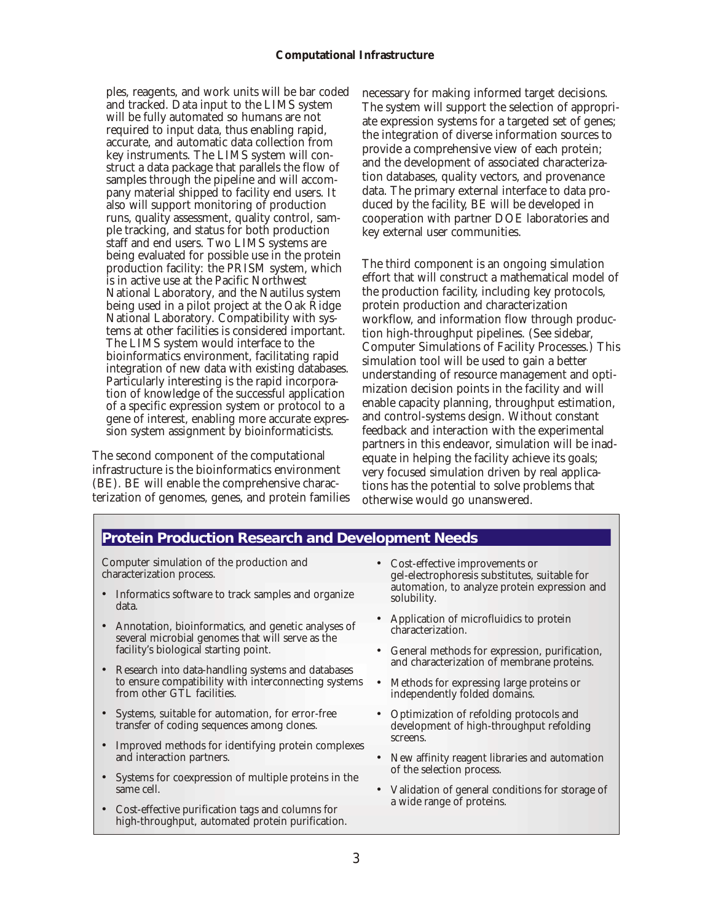#### **Computational Infrastructure**

ples, reagents, and work units will be bar coded and tracked. Data input to the LIMS system will be fully automated so humans are not required to input data, thus enabling rapid, accurate, and automatic data collection from key instruments. The LIMS system will construct a data package that parallels the flow of samples through the pipeline and will accompany material shipped to facility end users. It also will support monitoring of production runs, quality assessment, quality control, sample tracking, and status for both production staff and end users. Two LIMS systems are being evaluated for possible use in the protein production facility: the PRISM system, which is in active use at the Pacific Northwest National Laboratory, and the Nautilus system being used in a pilot project at the Oak Ridge National Laboratory. Compatibility with systems at other facilities is considered important. The LIMS system would interface to the bioinformatics environment, facilitating rapid integration of new data with existing databases. Particularly interesting is the rapid incorporation of knowledge of the successful application of a specific expression system or protocol to a gene of interest, enabling more accurate expression system assignment by bioinformaticists.

The second component of the computational infra structure is the bioinformatics environment (BE). BE will enable the comprehensive characterization of genomes, genes, and protein families necessary for making informed target decisions. The system will support the selection of appropriate expression systems for a targeted set of genes; the integration of diverse information sources to provide a comprehensive view of each protein; and the development of associated characterization databases, quality vectors, and provenance data. The primary external interface to data produced by the facility, BE will be developed in cooperation with partner DOE laboratories and key external user communities.

The third component is an ongoing simulation effort that will construct a mathematical model of the production facility, including key protocols, protein production and characterization workflow, and information flow through production high-through put pipe lines. (See sidebar, Computer Simulations of Facility Processes.) This simulation tool will be used to gain a better understanding of resource management and optimization decision points in the facility and will enable capacity planning, throughput estimation, and control-systems design. Without constant feedback and interaction with the experimental partners in this endeavor, simulation will be inadequate in helping the facility achieve its goals; very focused simulation driven by real applications has the potential to solve problems that otherwise would go unan swered.

#### **Protein Production Research and Development Needs**

Computer simulation of the production and characterization process.

- Informatics software to track samples and organize data.
- Annotation, bioinformatics, and genetic analyses of several microbial genomes that will serve as the facility's biological starting point.
- Research into data-handling systems and databases to ensure compatibility with interconnecting systems from other GTL facilities.
- Systems, suitable for automation, for error-free transfer of coding sequences among clones.
- Improved methods for identifying protein complexes and interaction partners.
- Systems for coexpression of multiple proteins in the same cell.
- Cost-effective purification tags and columns for high-throughput, automated protein purification.
- Cost-effective improvements or gel-electrophoresis substitutes, suitable for automation, to analyze protein expression and solubility.
- Application of microfluidics to protein characterization.
- General methods for expression, purification, and characterization of membrane proteins.
- Methods for expressing large proteins or independently folded domains.
- Optimization of refolding protocols and development of high-throughput refolding screens.
- New affinity reagent libraries and automation of the selection process.
- Validation of general conditions for storage of a wide range of proteins.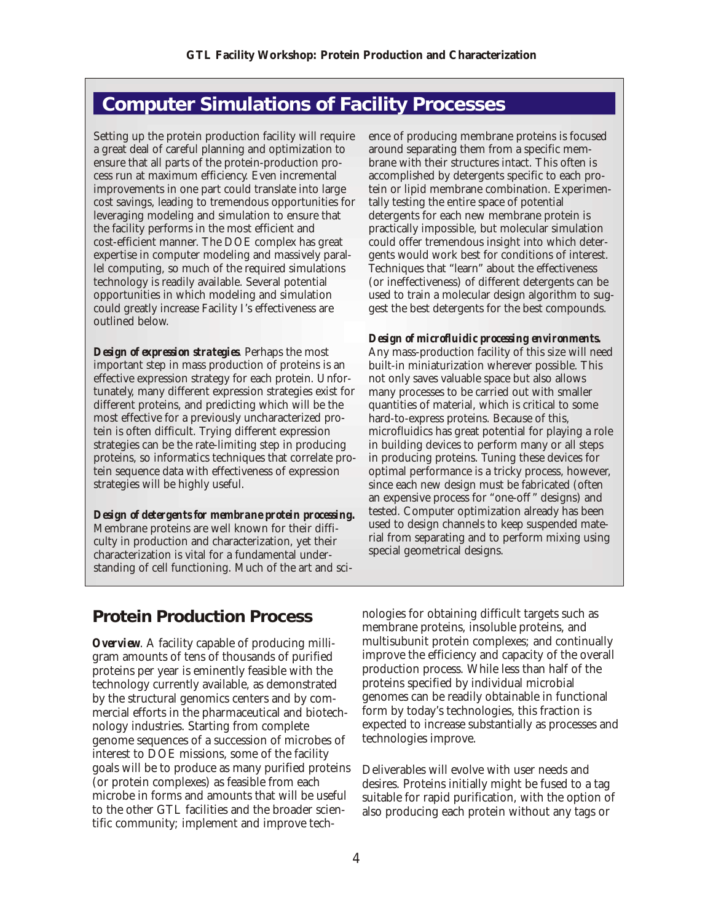# <span id="page-3-0"></span>**Computer Simulations of Facility Processes**

Setting up the protein production facility will require a great deal of careful planning and optimization to ensure that all parts of the protein-production process run at maximum efficiency. Even incremental improvements in one part could translate into large cost savings, leading to tremendous opportunities for lever aging modeling and simulation to ensure that the facility performs in the most efficient and cost-efficient manner. The DOE complex has great expertise in computer modeling and massively parallel computing, so much of the required simulations technology is readily available. Several potential opportunities in which modeling and simulation could greatly increase Facility I's effectiveness are outlined below.

*Design of expression strategies*. Perhaps the most important step in mass production of proteins is an effective expression strategy for each protein. Unfortunately, many different expression strategies exist for different proteins, and predicting which will be the most effective for a previously uncharacterized protein is often difficult. Trying different expression strategies can be the rate-limiting step in producing proteins, so informatics techniques that correlate protein sequence data with effectiveness of expression strategies will be highly useful.

*Design of detergents for membrane protein processing.* Membrane proteins are well known for their difficulty in production and characterization, yet their characterization is vital for a fundamental understanding of cell functioning. Much of the art and science of producing membrane proteins is focused around separating them from a specific membrane with their structures intact. This often is accomplished by detergents specific to each protein or lipid membrane combination. Experimentally testing the entire space of potential detergents for each new membrane protein is practically impossible, but molecular simulation could offer tremendous insight into which detergents would work best for conditions of interest. Techniques that "learn" about the effectiveness (or ineffectiveness) of different detergents can be used to train a molecular design algorithm to suggest the best detergents for the best compounds.

*Design of microfluidic process ing envi ron ments.* Any mass-production facility of this size will need built-in miniaturization wherever possible. This not only saves valuable space but also allows many processes to be carried out with smaller quantities of material, which is critical to some hard-to-express proteins. Because of this, microfluidics has great potential for playing a role in building devices to perform many or all steps in producing proteins. Tuning these devices for optimal performance is a tricky process, however, since each new design must be fabricated (often an expensive process for "one-off" designs) and tested. Computer optimization already has been used to design channels to keep suspended material from separating and to perform mixing using special geometrical designs.

## **Protein Production Process**

*Overview.* A facility capable of producing milligram amounts of tens of thousands of purified proteins per year is eminently feasible with the technology currently available, as demonstrated by the structural genomics centers and by commercial efforts in the pharmaceutical and biotechnology industries. Starting from complete genome sequences of a succession of microbes of interest to DOE missions, some of the facility goals will be to produce as many purified proteins (or protein complexes) as feasible from each microbe in forms and amounts that will be useful to the other GTL facilities and the broader scientific community; implement and improve tech-

nologies for obtaining difficult targets such as membrane proteins, insoluble proteins, and multisubunit protein complexes; and continually improve the efficiency and capacity of the overall production process. While less than half of the proteins specified by individual microbial genomes can be readily obtainable in functional form by today's technologies, this fraction is expected to increase substantially as processes and technologies improve.

Deliverables will evolve with user needs and desires. Proteins initially might be fused to a tag suitable for rapid purification, with the option of also producing each protein without any tags or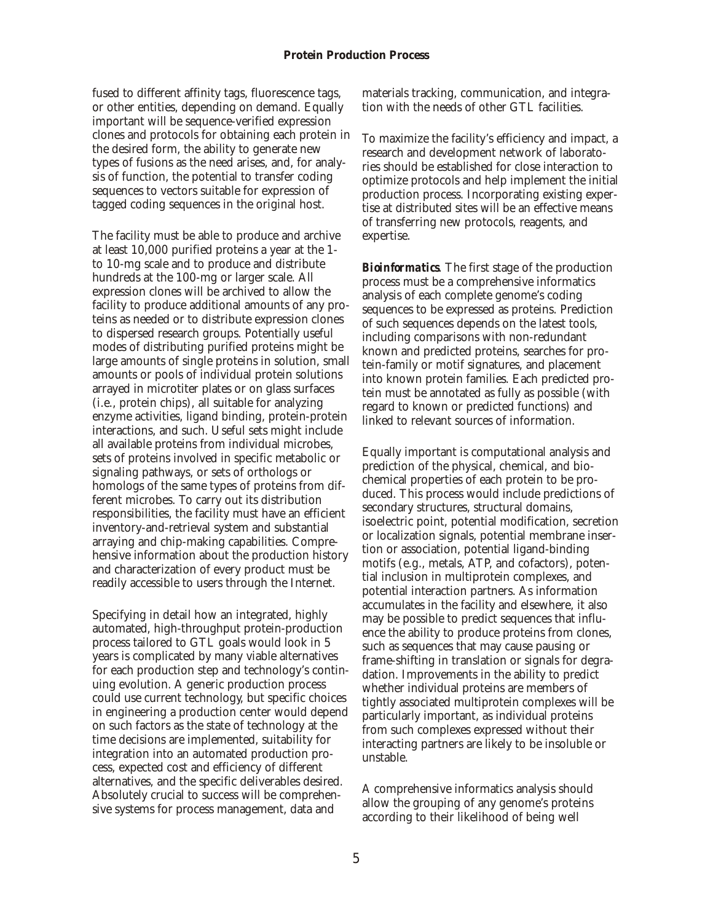fused to different affinity tags, fluorescence tags, or other entities, depending on demand. Equally important will be sequence-verified expression clones and protocols for obtaining each protein in the desired form, the ability to generate new types of fusions as the need arises, and, for analysis of function, the potential to transfer coding sequences to vectors suitable for expression of tagged coding sequences in the original host.

The facility must be able to produce and archive at least 10,000 purified proteins a year at the 1to 10-mg scale and to produce and distribute hundreds at the 100-mg or larger scale. All expression clones will be archived to allow the facility to produce additional amounts of any proteins as needed or to distribute expression clones to dispersed research groups. Potentially useful modes of distributing purified proteins might be large amounts of single proteins in solution, small amounts or pools of individual protein solutions arrayed in microtiter plates or on glass surfaces (i.e., protein chips), all suitable for analyzing enzyme activities, ligand binding, protein-protein interactions, and such. Useful sets might include all available proteins from individual microbes, sets of proteins involved in specific metabolic or signaling pathways, or sets of orthologs or homologs of the same types of proteins from different microbes. To carry out its distribution responsibilities, the facility must have an efficient inventory-and-retrieval system and substantial arraying and chip-making capabilities. Comprehen sive information about the production history and characterization of every product must be readily accessible to users through the Internet.

Specifying in detail how an integrated, highly auto mated, high-through put prote in-production process tailored to GTL goals would look in 5 years is complicated by many viable alternatives for each production step and technology's continuing evolution. A generic production process could use current technology, but specific choices in engineering a production center would depend on such factors as the state of technology at the time decisions are implemented, suitability for integration into an automated production process, expected cost and efficiency of different alternatives, and the specific deliverables desired. Absolutely crucial to success will be comprehensive systems for process management, data and

materials tracking, communication, and integration with the needs of other GTL facilities.

To maximize the facility's efficiency and impact, a research and development network of laboratories should be established for close interaction to optimize protocols and help implement the initial production process. Incorporating existing expertise at distributed sites will be an effective means of transferring new protocols, reagents, and expertise.

*Bioinformatics*. The first stage of the production process must be a comprehensive informatics analysis of each complete genome's coding sequences to be expressed as proteins. Prediction of such sequences depends on the latest tools, including comparisons with non-redundant known and predicted proteins, searches for protein-family or motif signatures, and placement into known protein families. Each predicted protein must be annotated as fully as possible (with regard to known or predicted functions) and linked to relevant sources of information.

Equally important is computational analysis and prediction of the physical, chemical, and biochemical properties of each protein to be produced. This process would include predictions of secondary structures, structural domains, isoelectric point, potential modification, secretion or localization signals, potential membrane insertion or association, potential ligand-binding motifs (e.g., metals, ATP, and cofactors), potential inclusion in multiprotein complexes, and potential interaction partners. As information accumulates in the facility and elsewhere, it also may be possible to predict sequences that influence the ability to produce proteins from clones, such as sequences that may cause pausing or frame-shifting in translation or signals for degradation. Improvements in the ability to predict whether individual proteins are members of tightly associated multiprotein complexes will be particularly important, as individual proteins from such complexes expressed without their inter acting partners are likely to be insoluble or unstable.

A comprehensive informatics analysis should allow the grouping of any genome's proteins according to their like lihood of being well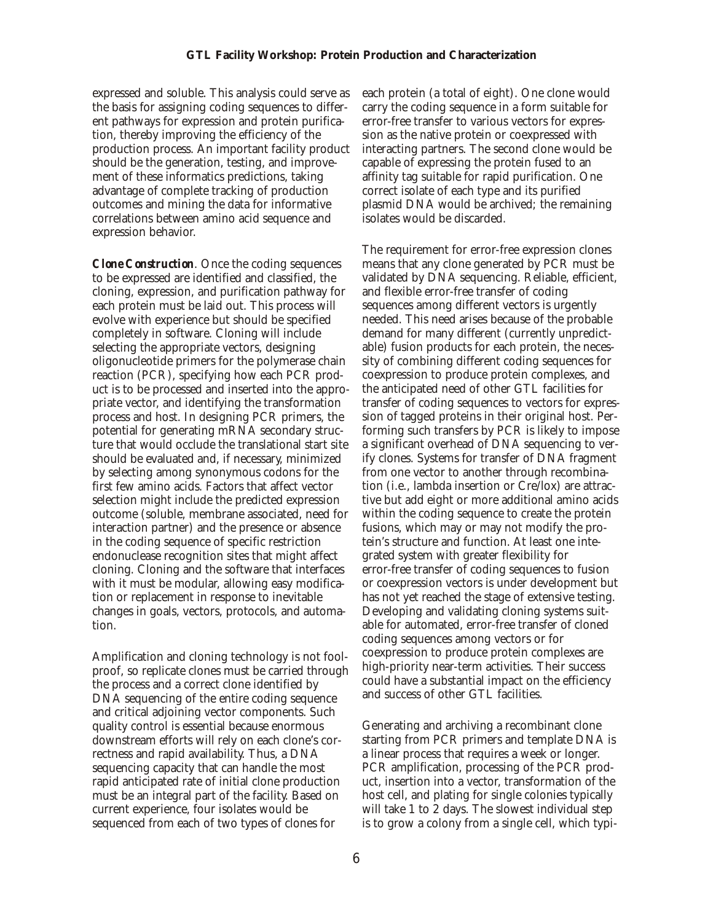expressed and soluble. This analysis could serve as the basis for assigning coding sequences to different pathways for expression and protein purification, thereby improving the efficiency of the production process. An important facility product should be the generation, testing, and improvement of these informatics predictions, taking advantage of complete tracking of production out comes and mining the data for informative correlations between amino acid sequence and expression behavior.

*Clone Construction.* Once the coding sequences to be expressed are identified and classified, the cloning, expression, and purification pathway for each protein must be laid out. This process will evolve with experience but should be specified completely in software. Cloning will include selecting the appropriate vectors, designing oligonucleotide primers for the polymerase chain reaction (PCR), specifying how each PCR product is to be processed and inserted into the appropriate vector, and identifying the transformation process and host. In designing PCR primers, the potential for generating mRNA secondary structure that would occlude the translational start site should be evaluated and, if necessary, minimized by selecting among synonymous codons for the first few amino acids. Factors that affect vector selection might include the predicted expression out come (soluble, membrane associated, need for inter action partner) and the presence or absence in the coding sequence of specific restriction endonuclease recognition sites that might affect cloning. Cloning and the software that interfaces with it must be modular, allowing easy modification or replacement in response to inevitable changes in goals, vectors, protocols, and automation.

Amplification and cloning technology is not foolproof, so replicate clones must be carried through the process and a correct clone identified by DNA sequencing of the entire coding sequence and critical adjoining vector components. Such quality control is essential because enormous downstream efforts will rely on each clone's correctness and rapid availability. Thus, a DNA sequencing capacity that can handle the most rapid anticipated rate of initial clone production must be an integral part of the facility. Based on current experience, four isolates would be sequenced from each of two types of clones for

each protein (a total of eight). One clone would carry the coding sequence in a form suitable for error-free transfer to various vectors for expression as the native protein or coexpressed with interacting partners. The second clone would be capable of expressing the protein fused to an affinity tag suitable for rapid purification. One correct isolate of each type and its purified plasmid DNA would be archived; the remaining isolates would be discarded.

The requirement for error-free expression clones means that any clone generated by PCR must be validated by DNA sequencing. Reliable, efficient, and flexible error-free transfer of coding sequences among different vectors is urgently needed. This need arises because of the probable demand for many different (currently unpredictable) fusion products for each protein, the necessity of combining different coding sequences for coexpression to produce protein complexes, and the anticipated need of other GTL facilities for transfer of coding sequences to vectors for expression of tagged proteins in their original host. Performing such transfers by PCR is likely to impose a significant overhead of DNA sequencing to verify clones. Systems for transfer of DNA fragment from one vector to another through recombination (i.e., lambda insertion or Cre/lox) are attractive but add eight or more additional amino acids within the coding sequence to create the protein fusions, which may or may not modify the protein's structure and function. At least one integrated system with greater flexibility for error-free transfer of coding sequences to fusion or coexpression vectors is under development but has not yet reached the stage of extensive testing. Developing and validating cloning systems suitable for automated, error-free transfer of cloned coding sequences among vectors or for coexpression to produce protein complexes are high-priority near-term activities. Their success could have a substantial impact on the efficiency and success of other GTL facilities.

Generating and archiving a recombinant clone starting from PCR primers and template DNA is a linear process that requires a week or longer. PCR amplification, processing of the PCR product, insertion into a vector, transformation of the host cell, and plating for single colonies typically will take 1 to 2 days. The slowest individual step is to grow a colony from a single cell, which typi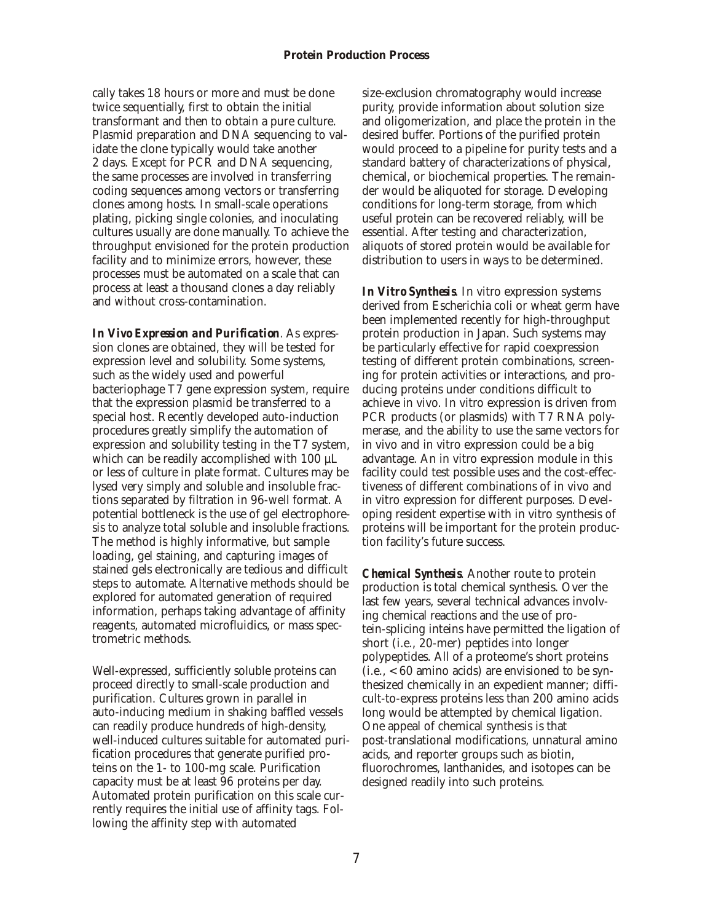cally takes 18 hours or more and must be done twice sequentially, first to obtain the initial transformant and then to obtain a pure culture. Plasmid preparation and DNA sequencing to validate the clone typically would take another 2 days. Except for PCR and DNA sequencing, the same processes are involved in transferring coding sequences among vectors or transferring clones among hosts. In small-scale operations plating, picking single colonies, and inoculating cultures usually are done manually. To achieve the through put envisioned for the protein production facility and to minimize errors, however, these processes must be automated on a scale that can process at least a thousand clones a day reliably and without cross-contamination.

*In Vivo Expression and Purification.* As expression clones are obtained, they will be tested for expression level and solubility. Some systems, such as the widely used and powerful bacteriophage T7 gene expression system, require that the expression plasmid be transferred to a special host. Recently developed auto-induction procedures greatly simplify the automation of expression and solubility testing in the T7 system, which can be readily accomplished with 100  $\mu$ L or less of culture in plate format. Cultures may be lysed very simply and soluble and insoluble fractions separated by filtration in 96-well format. A potential bottleneck is the use of gel electrophoresis to analyze total soluble and insoluble fractions. The method is highly informative, but sample loading, gel staining, and capturing images of stained gels electronically are tedious and difficult steps to automate. Alternative methods should be explored for automated generation of required information, perhaps taking advantage of affinity reagents, automated microfluidics, or mass spectrometric methods.

Well-expressed, sufficiently soluble proteins can proceed directly to small-scale production and purification. Cultures grown in parallel in auto-inducing medium in shaking baffled vessels can readily produce hundreds of high-density, well-induced cultures suitable for automated purification procedures that generate purified proteins on the  $1-$  to  $100$ -mg scale. Purification capacity must be at least 96 proteins per day. Automated protein purification on this scale currently requires the initial use of affinity tags. Following the affinity step with automated

size-exclusion chromatography would increase purity, provide information about solution size and oligomerization, and place the protein in the desired buffer. Portions of the purified protein would proceed to a pipeline for purity tests and a standard battery of characterizations of physical, chemical, or biochemical properties. The remainder would be aliquoted for storage. Developing conditions for long-term storage, from which use ful protein can be recovered reliably, will be essential. After testing and characterization, aliquots of stored protein would be available for distribution to users in ways to be determined.

*In Vitro Synthesis*. In vitro expression systems derived from Escherichia coli or wheat germ have been implemented recently for high-throughput protein production in Japan. Such systems may be particularly effective for rapid coexpression testing of different protein combinations, screening for protein activities or interactions, and producing proteins under conditions difficult to achieve in vivo. In vitro expression is driven from PCR products (or plasmids) with T7 RNA polymerase, and the ability to use the same vectors for in vivo and in vitro expression could be a big advantage. An in vitro expression module in this facility could test possible uses and the cost-effectiveness of different combinations of in vivo and in vitro expression for different purposes. Developing resident expertise with in vitro synthesis of proteins will be important for the protein production facility's future success.

*Chemical Synthesis*. Another route to protein production is total chemical synthesis. Over the last few years, several technical advances involving chemical reactions and the use of protein-splicing inteins have permitted the ligation of short (*i.e.*, 20-mer) peptides into longer polypeptides. All of a proteome's short proteins  $(i.e., < 60$  amino acids) are envisioned to be synthe sized chemically in an expedient manner; difficult-to-express proteins less than 200 amino acids long would be attempted by chemical ligation. One appeal of chemical synthesis is that post-translational modifications, unnatural amino acids, and reporter groups such as biotin, fluorochromes, lanthanides, and isotopes can be designed readily into such proteins.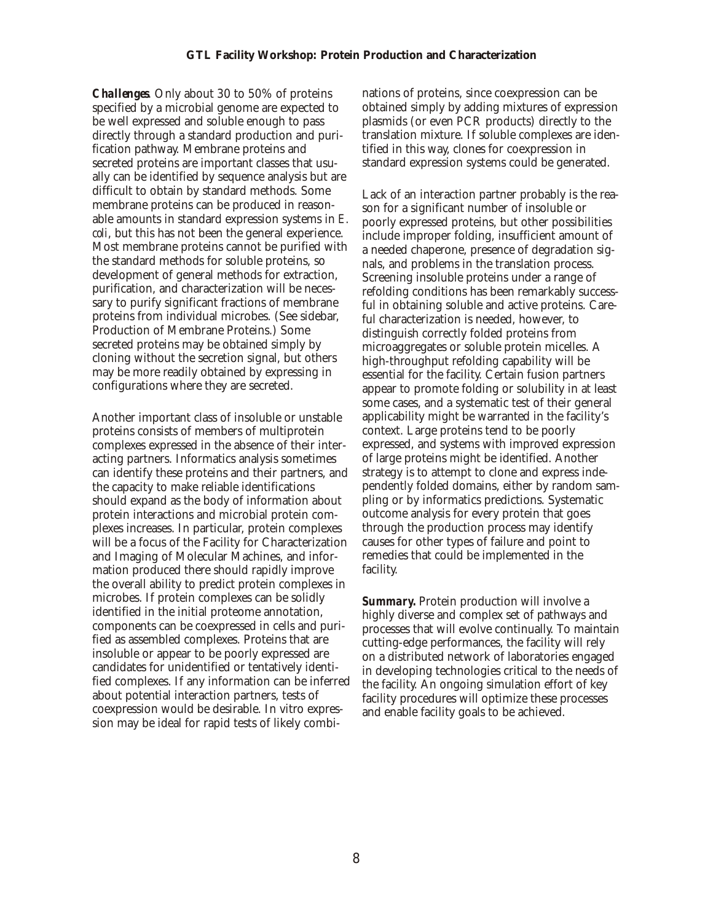*Challenges*. Only about 30 to 50% of proteins specified by a microbial genome are expected to be well expressed and soluble enough to pass directly through a standard production and purification pathway. Membrane proteins and secreted proteins are important classes that usually can be identified by sequence analysis but are difficult to obtain by standard methods. Some membrane proteins can be produced in reasonable amounts in standard expression systems in *E*. *coli*, but this has not been the general experience. Most membrane proteins cannot be purified with the standard methods for soluble proteins, so development of general methods for extraction, purification, and characterization will be necessary to purify significant fractions of membrane proteins from individual microbes. (See sidebar, Production of Membrane Proteins.) Some secreted proteins may be obtained simply by cloning without the secretion signal, but others may be more readily obtained by expressing in configurations where they are secreted.

Another important class of insoluble or unstable proteins consists of members of multiprotein complexes expressed in the absence of their interacting partners. Informatics analysis sometimes can identify these proteins and their partners, and the capacity to make reliable identifications should expand as the body of information about protein interactions and microbial protein complexes increases. In particular, protein complexes will be a focus of the Facility for Characterization and Imaging of Molecular Machines, and information produced there should rapidly improve the overall ability to predict protein complexes in microbes. If protein complexes can be solidly iden tified in the initial proteome annotation, components can be coexpressed in cells and purified as assembled complexes. Proteins that are insoluble or appear to be poorly expressed are candidates for unidentified or tentatively identified complexes. If any information can be inferred about potential interaction partners, tests of coexpression would be desirable. In vitro expression may be ideal for rapid tests of likely combi-

nations of proteins, since coexpression can be obtained simply by adding mixtures of expression plasmids (or even PCR products) directly to the translation mixture. If soluble complexes are identi fied in this way, clones for coexpression in standard expression systems could be generated.

Lack of an interaction partner probably is the reason for a significant number of insoluble or poorly expressed proteins, but other possibilities include improper folding, insufficient amount of a needed chaperone, presence of degradation signals, and problems in the translation process. Screening insoluble proteins under a range of refolding conditions has been remarkably successful in obtaining soluble and active proteins. Careful characterization is needed, however, to distinguish correctly folded proteins from microaggregates or soluble protein micelles. A high-through put refolding capability will be essential for the facility. Certain fusion partners appear to promote folding or solubility in at least some cases, and a systematic test of their general applicability might be warranted in the facility's context. Large proteins tend to be poorly expressed, and systems with improved expression of large proteins might be identified. Another strategy is to attempt to clone and express independently folded domains, either by random sampling or by informatics predictions. Systematic out come analysis for every protein that goes through the production process may identify causes for other types of failure and point to remedies that could be implemented in the facility.

*Summary.* Protein production will involve a highly diverse and complex set of pathways and processes that will evolve continually. To maintain cutting-edge performances, the facility will rely on a distributed network of laboratories engaged in developing technologies critical to the needs of the facility. An ongoing simulation effort of key facility procedures will optimize these processes and enable facility goals to be achieved.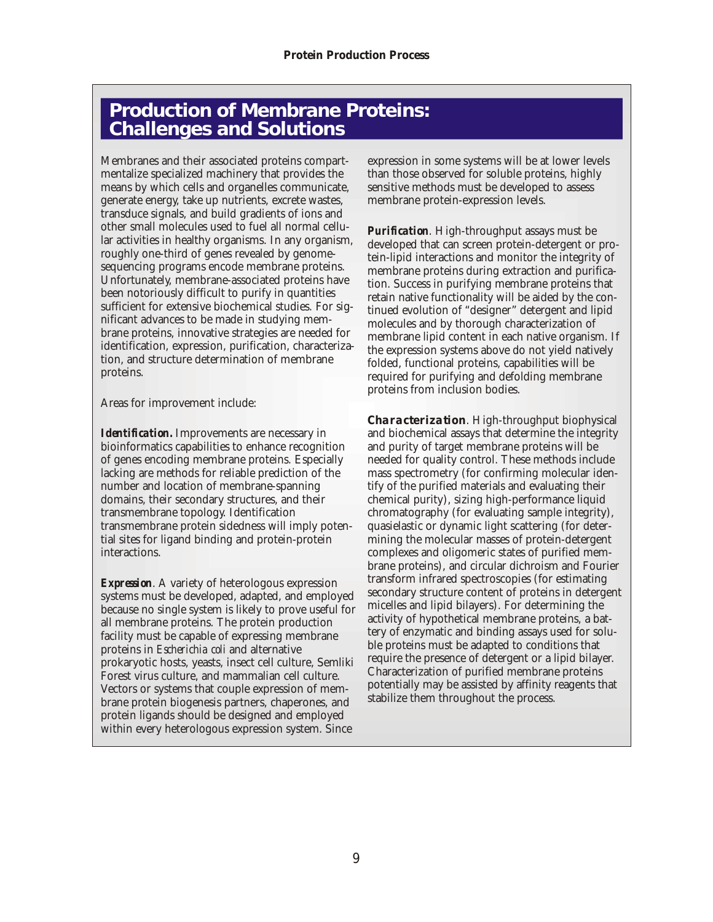# **Production of Membrane Proteins: Challenges and Solutions**

Membranes and their associated proteins compartmentalize specialized machinery that provides the means by which cells and organelles communicate, generate energy, take up nutrients, excrete wastes, trans duce signals, and build gradients of ions and other small molecules used to fuel all normal cellular activities in healthy organisms. In any organism, roughly one-third of genes revealed by genomesequencing programs encode membrane proteins. Unfortunately, membrane-associated proteins have been notoriously difficult to purify in quantities sufficient for extensive biochemical studies. For significant advances to be made in studying membrane proteins, innovative strategies are needed for iden tification, expression, purification, characterization, and structure determination of membrane proteins.

Areas for improvement include:

*Identification.* Improvements are necessary in bioinformatics capabilities to enhance recognition of genes encoding membrane proteins. Especially lacking are methods for reliable prediction of the number and location of membrane-spanning domains, their secondary structures, and their transmembrane topology. Identification transmembrane protein sidedness will imply potential sites for ligand binding and protein-protein interactions.

*Expression.* A variety of heterologous expression systems must be developed, adapted, and employed because no single system is likely to prove useful for all membrane proteins. The protein production facility must be capable of expressing membrane proteins in *Escherichia coli* and alternative prokaryotic hosts, yeasts, insect cell culture, Semliki Forest virus culture, and mammalian cell culture. Vectors or systems that couple expression of membrane protein biogenesis partners, chaperones, and protein ligands should be designed and employed within every heterologous expression system. Since

expression in some systems will be at lower levels than those observed for soluble proteins, highly sensitive methods must be developed to assess membrane protein-expression levels.

*Purification*. High-throughput assays must be developed that can screen protein-detergent or protein-lipid interactions and monitor the integrity of membrane proteins during extraction and purification. Success in purifying membrane proteins that retain native functionality will be aided by the continued evolution of "designer" detergent and lipid molecules and by thorough characterization of membrane lipid content in each native organism. If the expression systems above do not yield natively folded, functional proteins, capabilities will be required for purifying and defolding membrane proteins from inclusion bodies.

*Characterization.* High-throughput biophysical and biochemical assays that determine the integrity and purity of target membrane proteins will be needed for quality control. These methods include mass spectrometry (for confirming molecular identify of the purified materials and evaluating their chemical purity), sizing high-performance liquid chromatography (for evaluating sample integrity), quasielastic or dynamic light scattering (for determining the molecular masses of protein-detergent complexes and oligomeric states of purified membrane proteins), and circular dichroism and Fourier transform infrared spectroscopies (for estimating secondary structure content of proteins in detergent micelles and lipid bilayers). For determining the activity of hypothetical membrane proteins, a battery of enzymatic and binding assays used for soluble proteins must be adapted to conditions that require the presence of detergent or a lipid bilayer. Characterization of purified membrane proteins potentially may be assisted by affinity reagents that stabilize them throughout the process.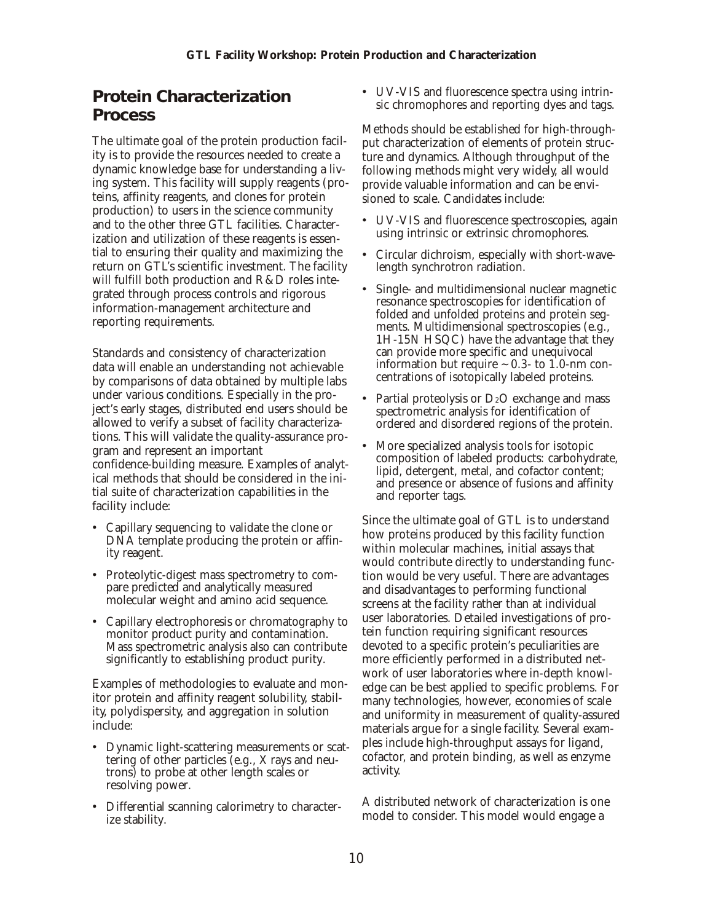## <span id="page-9-0"></span>**Protein Characterization Process**

The ultimate goal of the protein production facility is to provide the resources needed to create a dynamic knowledge base for understanding a living system. This facility will supply reagents (proteins, affinity reagents, and clones for protein production) to users in the science community and to the other three GTL facilities. Characterization and utilization of these reagents is essential to ensuring their quality and maximizing the return on GTL's scientific investment. The facility will fulfill both production and R&D roles integrated through process controls and rigorous information-management architecture and reporting requirements.

Standards and consistency of characterization data will enable an understanding not achievable by comparisons of data obtained by multiple labs under various conditions. Especially in the project's early stages, distributed end users should be allowed to verify a subset of facility characterizations. This will validate the quality-assurance program and represent an important confidence-building measure. Examples of analytical methods that should be considered in the initial suite of characterization capabilities in the facility include:

- Capillary sequencing to validate the clone or DNA template producing the protein or affinity reagent.
- Proteolytic-digest mass spectrometry to compare predicted and analytically measured molecular weight and amino acid sequence.
- Capillary electrophoresis or chromatography to monitor product purity and contamination. Mass spectrometric analysis also can contribute significantly to establishing product purity.

Examples of methodologies to evaluate and monitor protein and affinity reagent solubility, stability, polydispersity, and aggregation in solution include:

- Dynamic light-scattering measurements or scattering of other particles (e.g., X rays and neutrons) to probe at other length scales or resolving power.
- Differential scanning calorimetry to characterize stability.

• UV-VIS and fluorescence spectra using intrinsic chromophores and reporting dyes and tags.

Methods should be established for high-throughput characterization of elements of protein structure and dynamics. Although through put of the following methods might very widely, all would provide valuable information and can be envisioned to scale. Candidates include:

- UV-VIS and fluorescence spectroscopies, again using intrinsic or extrinsic chromophores.
- Circular dichroism, especially with short-wavelength synchrotron radiation.
- Single- and multidimensional nuclear magnetic resonance spectroscopies for identification of folded and unfolded proteins and protein segments. Multidimensional spectroscopies (e.g., 1H-15N HSQC) have the advantage that they can provide more specific and unequivocal information but require  $\sim$  0.3- to 1.0-nm concentrations of isotopically labeled proteins.
- Partial proteolysis or  $D_2O$  exchange and mass spectrometric analysis for identification of ordered and disordered regions of the protein.
- More specialized analysis tools for isotopic composition of labeled products: carbohydrate, lipid, detergent, metal, and cofactor content; and presence or absence of fusions and affinity and reporter tags.

Since the ultimate goal of GTL is to understand how proteins produced by this facility function within molecular machines, initial assays that would contribute directly to understanding function would be very useful. There are advantages and disadvantages to performing functional screens at the facility rather than at individual user laboratories. Detailed investigations of protein function requiring significant resources devoted to a specific protein's peculiarities are more efficiently performed in a distributed network of user laboratories where in-depth knowledge can be best applied to specific problems. For many technologies, however, economies of scale and uniformity in measurement of quality-assured materials argue for a single facility. Several examples include high-through put assays for ligand, cofactor, and protein binding, as well as enzyme activity.

A distributed network of characterization is one model to consider. This model would engage a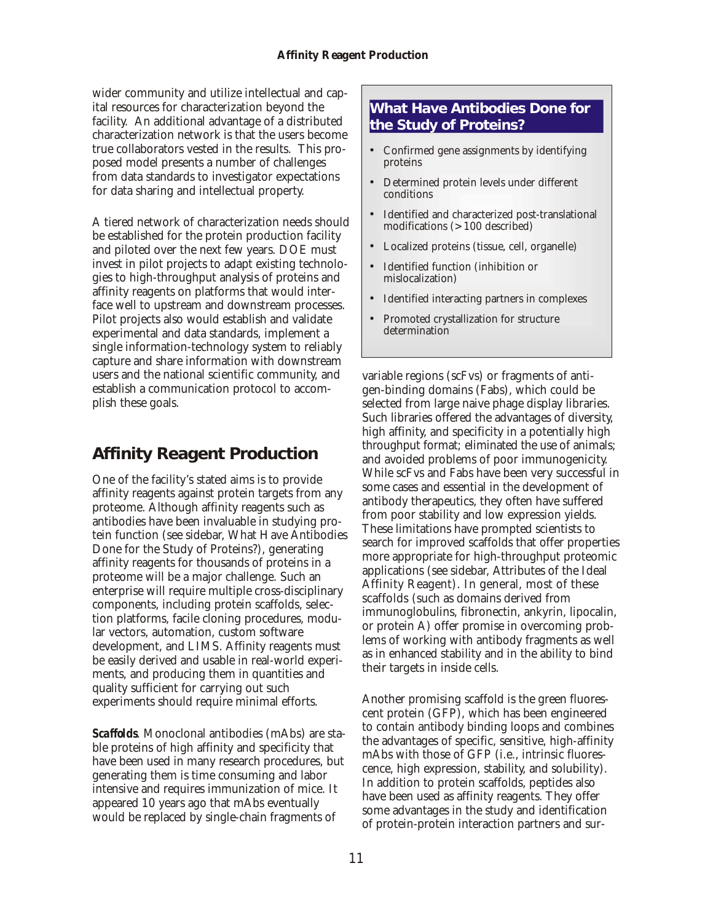<span id="page-10-0"></span>wider community and utilize intellectual and capital resources for characterization beyond the facility. An additional advantage of a distributed characterization network is that the users become true collaborators vested in the results. This proposed model presents a number of challenges from data standards to investigator expectations for data sharing and intellectual property.

A tiered network of characterization needs should be established for the protein production facility and piloted over the next few years. DOE must invest in pilot projects to adapt existing technologies to high-throughput analysis of proteins and affinity reagents on platforms that would interface well to upstream and downstream processes. Pilot projects also would establish and validate experimental and data standards, implement a single information-technology system to reliably capture and share information with downstream users and the national scientific community, and establish a communication protocol to accomplish these goals.

# **Affinity Reagent Production**

One of the facility's stated aims is to provide affinity reagents against protein targets from any proteome. Although affinity reagents such as antibodies have been invaluable in studying protein function (see sidebar, What Have Antibodies Done for the Study of Proteins?), generating affinity reagents for thousands of proteins in a proteome will be a major challenge. Such an enterprise will require multiple cross-disciplinary components, including protein scaffolds, selection platforms, facile cloning procedures, modular vectors, automation, custom software development, and LIMS. Affinity reagents must be easily derived and usable in real-world experiments, and producing them in quantities and quality sufficient for carrying out such experiments should require minimal efforts.

*Scaffolds*. Monoclonal antibodies (mAbs) are stable proteins of high affinity and specificity that have been used in many research procedures, but generating them is time consuming and labor intensive and requires immunization of mice. It appeared 10 years ago that mAbs eventually would be replaced by single-chain fragments of

### **What Have Antibodies Done for the Study of Proteins?**

- Confirmed gene assignments by identifying proteins
- Determined protein levels under different conditions
- Identified and characterized post-translational modifications (>100 described)
- Localized proteins (tissue, cell, organelle)
- Identified function (inhibition or mislocalization)
- Identified interacting partners in complexes
- Promoted crystallization for structure determination

variable regions (scFvs) or fragments of antigen-binding domains (Fabs), which could be selected from large naive phage display libraries. Such libraries offered the advantages of diversity, high affinity, and specificity in a potentially high through put format; eliminated the use of animals; and avoided problems of poor immunogenicity. While scFvs and Fabs have been very successful in some cases and essential in the development of antibody therapeutics, they often have suffered from poor stability and low expression yields. These limitations have prompted scientists to search for improved scaffolds that offer properties more appropriate for high-throughput proteomic applications (see sidebar, Attributes of the Ideal Affinity Reagent). In general, most of these scaffolds (such as domains derived from immunoglobulins, fibronectin, ankyrin, lipocalin, or protein A) offer promise in overcoming problems of working with antibody fragments as well as in enhanced stability and in the ability to bind their targets in inside cells.

Another promising scaffold is the green fluorescent protein (GFP), which has been engineered to contain antibody binding loops and combines the advantages of specific, sensitive, high-affinity mAbs with those of GFP (i.e., intrinsic fluorescence, high expression, stability, and solubility). In addition to protein scaffolds, peptides also have been used as affinity reagents. They offer some advantages in the study and identification of protein-protein interaction partners and sur-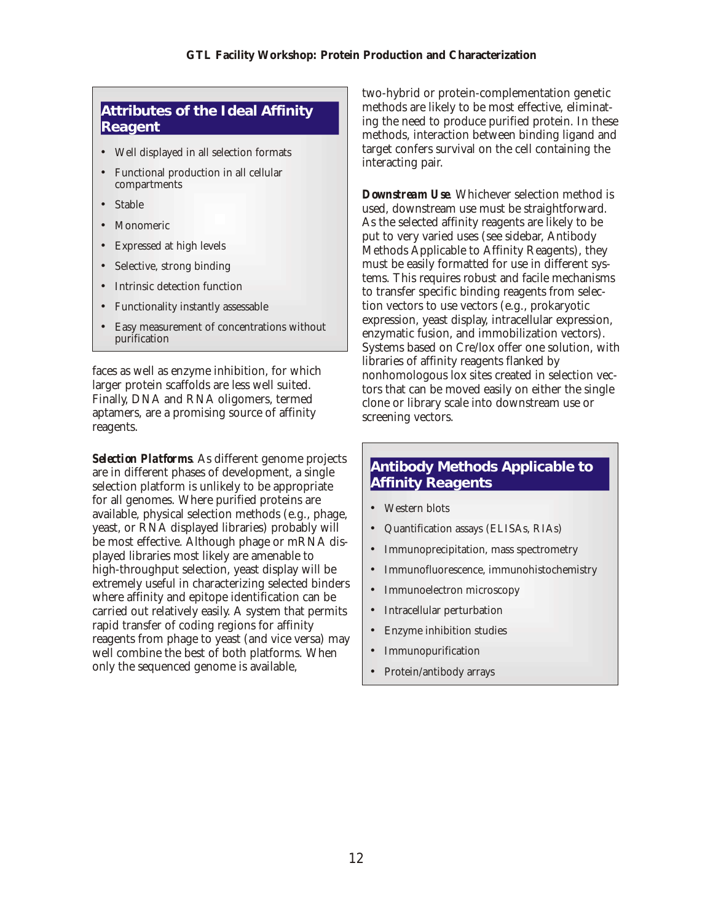#### **Attributes of the Ideal Affinity Reagent**

- Well displayed in all selection formats
- Functional production in all cellular compartments
- **Stable**
- **Monomeric**
- Expressed at high levels
- Selective, strong binding
- Intrinsic detection function
- Functionality instantly assessable
- Easy measurement of concentrations without purification

faces as well as enzyme inhibition, for which larger protein scaffolds are less well suited. Finally, DNA and RNA oligomers, termed aptamers, are a promising source of affinity reagents.

*Selection Platforms.* As different genome projects are in different phases of development, a single selection platform is unlikely to be appropriate for all genomes. Where purified proteins are available, physical selection methods (e.g., phage, yeast, or RNA displayed libraries) probably will be most effective. Although phage or mRNA displayed libraries most likely are amenable to high-throughput selection, yeast display will be extremely useful in characterizing selected binders where affinity and epitope identification can be carried out relatively easily. A system that permits rapid transfer of coding regions for affinity reagents from phage to yeast (and vice versa) may well combine the best of both platforms. When only the sequenced genome is available,

two-hybrid or protein-complementation genetic methods are likely to be most effective, eliminating the need to produce purified protein. In these methods, interaction between binding ligand and target confers survival on the cell containing the interacting pair.

*Downstream Use.* Whichever selection method is used, downstream use must be straight forward. As the selected affinity reagents are likely to be put to very varied uses (see sidebar, Antibody Methods Applicable to Affinity Reagents), they must be easily formatted for use in different systems. This requires robust and facile mechanisms to transfer specific binding reagents from selection vectors to use vectors (e.g., prokaryotic expression, yeast display, intracellular expression, enzymatic fusion, and immobilization vectors). Systems based on Cre/lox offer one solution, with libraries of affinity reagents flanked by nonhomologous lox sites created in selection vectors that can be moved easily on either the single clone or library scale into downstream use or screening vectors.

### **Antibody Methods Applicable to Affinity Reagents**

- Western blots
- Quantification assays (ELISAs, RIAs)
- Immunoprecipitation, mass spectrometry
- Immunofluorescence, immunohistochemistry
- Immunoelectron microscopy
- Intracellular perturbation
- Enzyme inhibition studies
- **Immunopurification**
- Protein/antibody arrays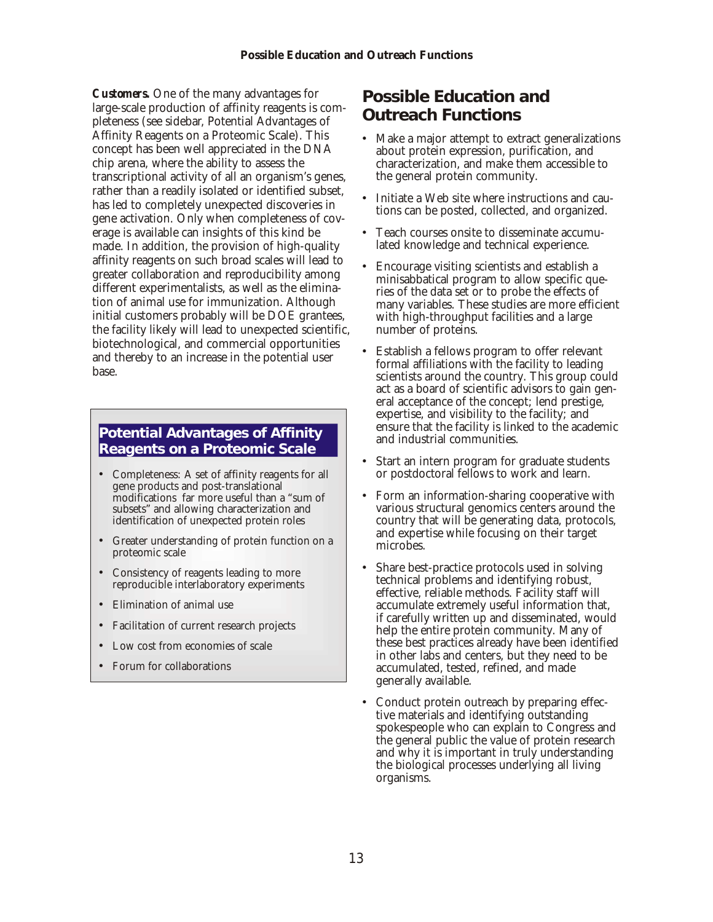<span id="page-12-0"></span>*Customers*. One of the many advantages for large-scale production of affinity reagents is completeness (see sidebar, Potential Advantages of Affinity Reagents on a Proteomic Scale). This concept has been well appreciated in the DNA chip arena, where the ability to assess the transcriptional activity of all an organism's genes, rather than a readily isolated or identified subset, has led to completely unexpected discoveries in gene activation. Only when completeness of coverage is available can insights of this kind be made. In addition, the provision of high-quality affin ity reagents on such broad scales will lead to greater collaboration and reproducibility among different experimentalists, as well as the elimination of animal use for immunization. Although initial customers probably will be DOE grantees, the facility likely will lead to unexpected scientific, bio technological, and commercial opportunities and thereby to an increase in the potential user base.

### **Potential Advantages of Affinity Reagents on a Proteomic Scale**

- Completeness: A set of affinity reagents for all gene products and post-translational modifications far more useful than a "sum of subsets" and allowing characterization and identification of unexpected protein roles
- Greater understanding of protein function on a proteomic scale
- Consistency of reagents leading to more reproducible interlaboratory experiments
- Elimination of animal use
- Facilitation of current research projects
- Low cost from economies of scale
- Forum for collaborations

## **Possible Education and Outreach Functions**

- Make a major attempt to extract generalizations about protein expression, purification, and characterization, and make them accessible to the general protein community.
- Initiate a Web site where instructions and cautions can be posted, collected, and organized.
- Teach courses onsite to disseminate accumulated knowledge and technical experience.
- Encourage visiting scientists and establish a minisab batical program to allow specific queries of the data set or to probe the effects of many variables. These studies are more efficient with high-through put facilities and a large number of proteins.
- Establish a fellows program to offer relevant formal affiliations with the facility to leading scientists around the country. This group could act as a board of scientific advisors to gain general acceptance of the concept; lend prestige, expertise, and visibility to the facility; and ensure that the facility is linked to the academic and industrial communities.
- Start an intern program for graduate students or postdoctoral fellows to work and learn.
- Form an information-sharing cooperative with various structural genomics centers around the country that will be generating data, protocols, and expertise while focusing on their target microbes.
- Share best-practice protocols used in solving technical problems and identifying robust, effective, reliable methods. Facility staff will accumulate extremely useful information that, if carefully written up and disseminated, would help the entire protein community. Many of these best practices already have been identified in other labs and centers, but they need to be accumulated, tested, refined, and made generally available.
- Conduct protein outreach by preparing effective materials and identifying outstanding spokespeople who can explain to Congress and the general public the value of protein research and why it is important in truly understanding the biological processes underlying all living organisms.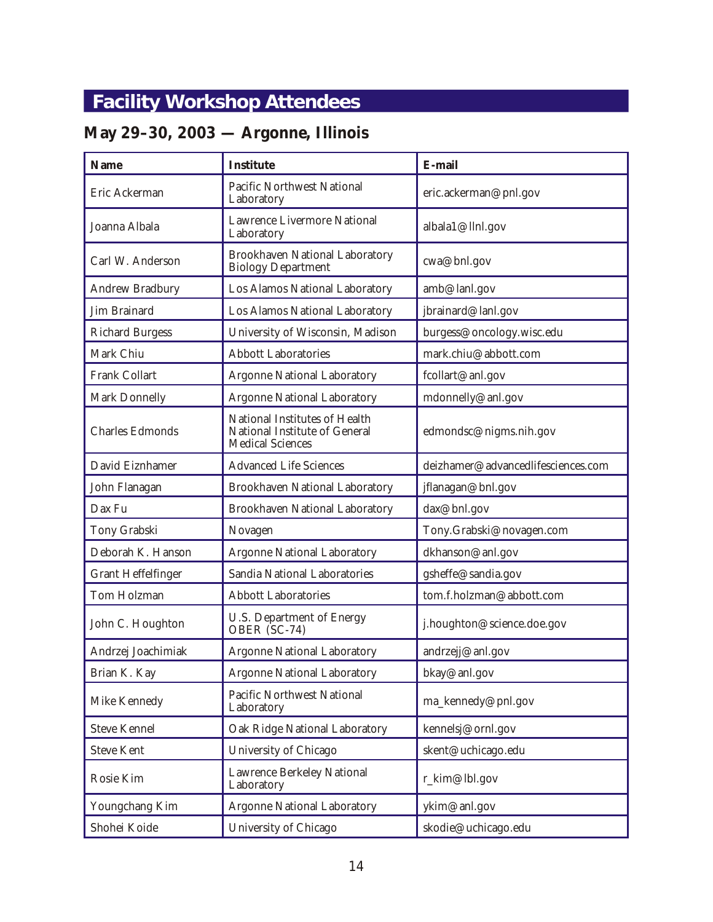# <span id="page-13-0"></span>**Facility Workshop Attendees**

# **May 29–30, 2003 — Argonne, Illinois**

| Name                      | Institute                                                                                 | E-mail                             |
|---------------------------|-------------------------------------------------------------------------------------------|------------------------------------|
| Eric Ackerman             | <b>Pacific Northwest National</b><br>Laboratory                                           | eric.ackerman@pnl.gov              |
| Joanna Albala             | <b>Lawrence Livermore National</b><br>Laboratory                                          | albala1@llnl.gov                   |
| Carl W. Anderson          | <b>Brookhaven National Laboratory</b><br><b>Biology Department</b>                        | cwa@bnl.gov                        |
| <b>Andrew Bradbury</b>    | Los Alamos National Laboratory                                                            | amb@lanl.gov                       |
| Jim Brainard              | Los Alamos National Laboratory                                                            | jbrainard@lanl.gov                 |
| <b>Richard Burgess</b>    | University of Wisconsin, Madison                                                          | burgess@oncology.wisc.edu          |
| Mark Chiu                 | <b>Abbott Laboratories</b>                                                                | mark.chiu@abbott.com               |
| <b>Frank Collart</b>      | <b>Argonne National Laboratory</b>                                                        | fcollart@anl.gov                   |
| Mark Donnelly             | <b>Argonne National Laboratory</b>                                                        | mdonnelly@anl.gov                  |
| <b>Charles Edmonds</b>    | National Institutes of Health<br>National Institute of General<br><b>Medical Sciences</b> | edmondsc@nigms.nih.gov             |
| David Eiznhamer           | <b>Advanced Life Sciences</b>                                                             | deizhamer@advancedlifesciences.com |
| John Flanagan             | <b>Brookhaven National Laboratory</b>                                                     | jflanagan@bnl.gov                  |
| Dax Fu                    | <b>Brookhaven National Laboratory</b>                                                     | dax@bnl.gov                        |
| Tony Grabski              | Novagen                                                                                   | Tony.Grabski@novagen.com           |
| Deborah K. Hanson         | <b>Argonne National Laboratory</b>                                                        | dkhanson@anl.gov                   |
| <b>Grant Heffelfinger</b> | Sandia National Laboratories                                                              | gsheffe@sandia.gov                 |
| Tom Holzman               | <b>Abbott Laboratories</b>                                                                | tom.f.holzman@abbott.com           |
| John C. Houghton          | <b>U.S. Department of Energy</b><br>OBER (SC-74)                                          | j.houghton@science.doe.gov         |
| Andrzej Joachimiak        | <b>Argonne National Laboratory</b>                                                        | andrzejj@anl.gov                   |
| Brian K. Kay              | <b>Argonne National Laboratory</b>                                                        | bkay@anl.gov                       |
| Mike Kennedy              | Pacific Northwest National<br>Laboratory                                                  | ma_kennedy@pnl.gov                 |
| <b>Steve Kennel</b>       | Oak Ridge National Laboratory                                                             | kennelsj@ornl.gov                  |
| <b>Steve Kent</b>         | University of Chicago                                                                     | skent@uchicago.edu                 |
| Rosie Kim                 | <b>Lawrence Berkeley National</b><br>Laboratory                                           | r_kim@lbl.gov                      |
| Youngchang Kim            | <b>Argonne National Laboratory</b>                                                        | ykim@anl.gov                       |
| Shohei Koide              | University of Chicago                                                                     | skodie@uchicago.edu                |